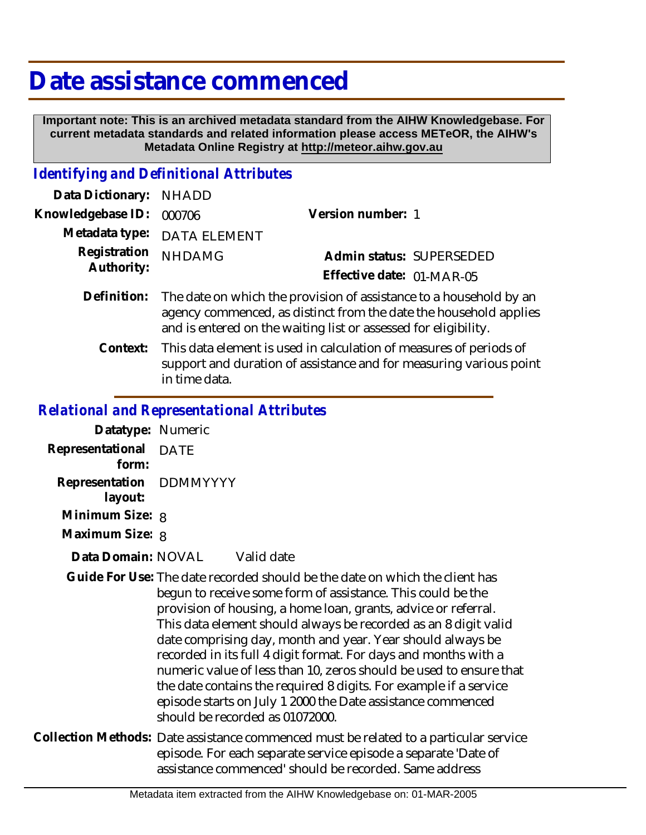## **Date assistance commenced**

 **Important note: This is an archived metadata standard from the AIHW Knowledgebase. For current metadata standards and related information please access METeOR, the AIHW's Metadata Online Registry at http://meteor.aihw.gov.au**

## *Identifying and Definitional Attributes*

| Data Dictionary: NHADD     |                                                                                                                                                     |                           |                          |
|----------------------------|-----------------------------------------------------------------------------------------------------------------------------------------------------|---------------------------|--------------------------|
| Knowledgebase ID: 000706   |                                                                                                                                                     | Version number: 1         |                          |
|                            | Metadata type: DATA ELEMENT                                                                                                                         |                           |                          |
| Registration<br>Authority: | <b>NHDAMG</b>                                                                                                                                       |                           | Admin status: SUPERSEDED |
|                            |                                                                                                                                                     | Effective date: 01-MAR-05 |                          |
|                            | Definition: The date on which the provision of assistance to a household by an<br>agency commenced, as distinct from the date the household applies |                           |                          |

This data element is used in calculation of measures of periods of support and duration of assistance and for measuring various point in time data. **Context:**

and is entered on the waiting list or assessed for eligibility.

## *Relational and Representational Attributes*

| Datatype: Numeric                  |                                          |
|------------------------------------|------------------------------------------|
| Representational<br>form:          | DATE                                     |
| Representation DDMMYYYY<br>layout: |                                          |
| Minimum Size: 8                    |                                          |
| Maximum Size: 8                    |                                          |
| Data Domain: NOVAL                 | Valid date                               |
|                                    | Cuide For Llse: The date recorded should |

- Guide For Use: The date recorded should be the date on which the client has begun to receive some form of assistance. This could be the provision of housing, a home loan, grants, advice or referral. This data element should always be recorded as an 8 digit valid date comprising day, month and year. Year should always be recorded in its full 4 digit format. For days and months with a numeric value of less than 10, zeros should be used to ensure that the date contains the required 8 digits. For example if a service episode starts on July 1 2000 the Date assistance commenced should be recorded as 01072000.
- Collection Methods: Date assistance commenced must be related to a particular service episode. For each separate service episode a separate 'Date of assistance commenced' should be recorded. Same address